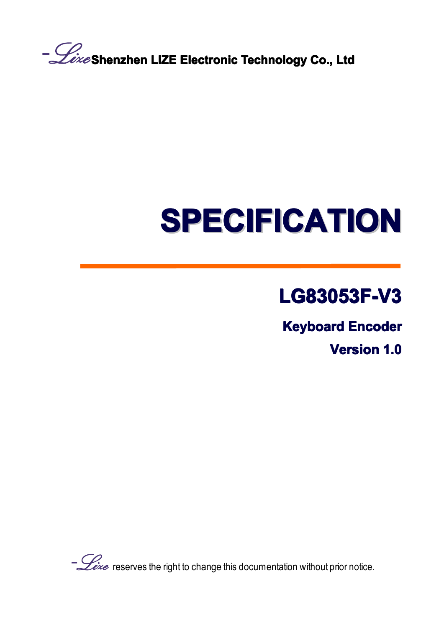**Shenzhen LIZE Electronic ElectronicTechnology TechnologyCo., Ltd**

# **SPECIFICATION SPECIFICATION SPECIFICATION SPECIFICATION SPECIFICATION SPECIFICATION SPECIFICATIONSPECIFICATION**

## **LG83053F-V3 LG83053F-V3 LG83053F-V3LG83053F-V3**

**Keyboard Encoder** 

**Version Version 1.0**

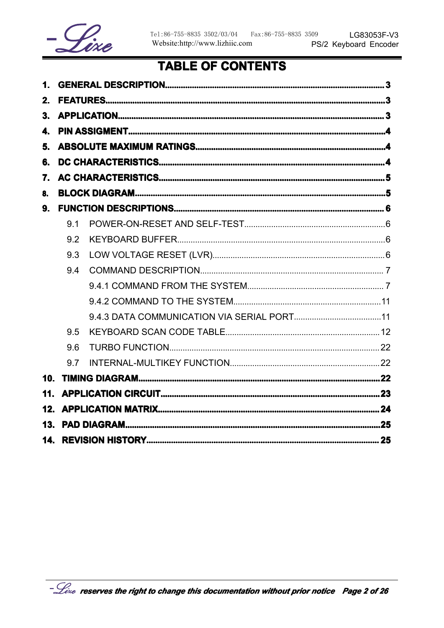

## **TABLE OF CONTENTS**

| $\mathbf 1$ .   |     |  |
|-----------------|-----|--|
| 2.              |     |  |
| 3.              |     |  |
| $\mathbf{4}$    |     |  |
| 5.              |     |  |
| 6.              |     |  |
| 7.              |     |  |
| 8.              |     |  |
| 9.              |     |  |
|                 | 9.1 |  |
|                 | 9.2 |  |
|                 | 9.3 |  |
|                 | 9.4 |  |
|                 |     |  |
|                 |     |  |
|                 |     |  |
|                 | 9.5 |  |
|                 | 9.6 |  |
|                 | 9.7 |  |
| 10 <sub>1</sub> |     |  |
| 11.             |     |  |
| 12.             |     |  |
| 13.             |     |  |
| 14.             |     |  |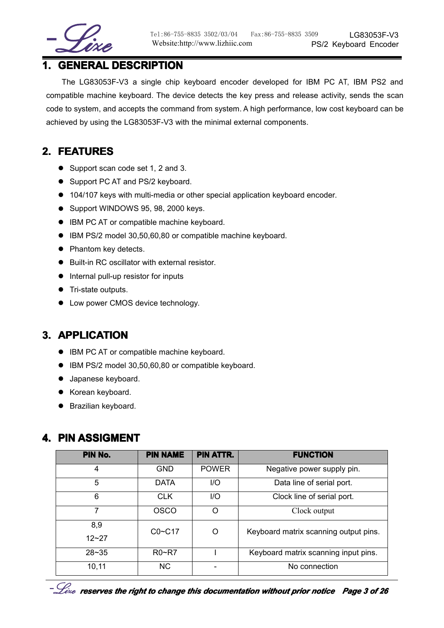

## **1. GENERAL GENERAL GENERALDESCRIPTION DESCRIPTION DESCRIPTION**

The LG83053F-V3 <sup>a</sup> single chip keyboard encoder developed for IBM PC AT, IBM PS2 and compatible machine keyboard. The device detects the key press and release activity, sends the scan code to system, and accepts the command from system. A high performance, low cost keyboard can be achieved by using the LG83053F-V3 with the minimal external components.

## **2. FEATURES FEATURES**

- Support scan code set 1, 2 and 3.
- Support PC AT and PS/2 keyboard.
- � 104/107 keys with multi-media or other special application keyboard encoder.
- � Support WINDOWS 95, 98, 2000 keys.
- IBM PC AT or compatible machine keyboard.
- � IBM PS/2 model 30,50,60,80 or compatible machine keyboard.
- Phantom key detects.
- $\bullet$  Built-in RC oscillator with external resistor.
- Internal pull-up resistor for inputs
- Tri-state outputs.
- Low power CMOS device technology.

## **3. APPLICATION**

- IBM PC AT or compatible machine keyboard.
- IBM PS/2 model 30,50,60,80 or compatible keyboard.
- Japanese keyboard.
- Korean keyboard.
- � Brazilian keyboard.

## **4. PIN ASSIGMENT**

| PIN No.   | <b>PIN NAME</b> | <b>PIN ATTR.</b> | <b>FUNCTION</b>                       |
|-----------|-----------------|------------------|---------------------------------------|
| 4         | <b>GND</b>      | <b>POWER</b>     | Negative power supply pin.            |
| 5         | <b>DATA</b>     | 1/O              | Data line of serial port.             |
| 6         | <b>CLK</b>      | I/O              | Clock line of serial port.            |
| 7         | <b>OSCO</b>     | ∩                | Clock output                          |
| 8,9       | $CO - C17$      | ∩                | Keyboard matrix scanning output pins. |
| $12 - 27$ |                 |                  |                                       |
| $28 - 35$ | $R0-RT$         |                  | Keyboard matrix scanning input pins.  |
| 10,11     | NC.             |                  | No connection                         |

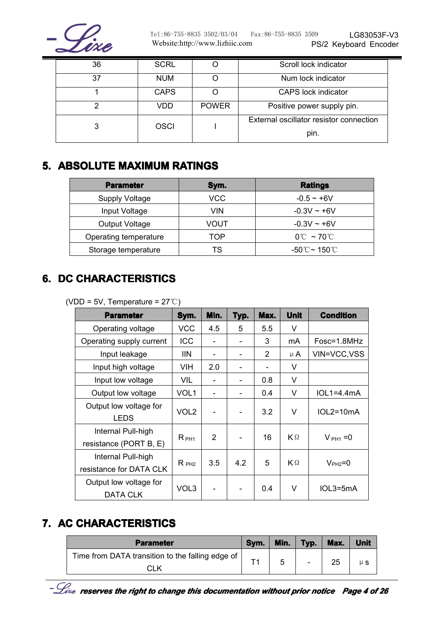

| 36 | <b>SCRL</b> |              | Scroll lock indicator                   |
|----|-------------|--------------|-----------------------------------------|
| 37 | <b>NUM</b>  |              | Num lock indicator                      |
|    | <b>CAPS</b> |              | <b>CAPS</b> lock indicator              |
|    | VDD         | <b>POWER</b> | Positive power supply pin.              |
|    | <b>OSCI</b> |              | External oscillator resistor connection |
|    |             |              | pin.                                    |

## **5. ABSOLUTE ABSOLUTE MAXIMUM MAXIMUM MAXIMUMRATINGS RATINGS RATINGSRATINGS**

| <b>Parameter</b>      | Sym. | <b>Ratings</b>                   |
|-----------------------|------|----------------------------------|
| <b>Supply Voltage</b> | VCC  | $-0.5 - +6V$                     |
| Input Voltage         | VIN  | $-0.3V - +6V$                    |
| Output Voltage        | VOUT | $-0.3V - +6V$                    |
| Operating temperature | TOP  | $0^{\circ}$ $\sim$ 70 $^{\circ}$ |
| Storage temperature   | TS   | -50℃~ 150℃                       |

## **6. DC CHARACTERISTICS**

(VDD <sup>=</sup> 5V, Temperature <sup>=</sup> 27℃)

| <b>Parameter</b>                              | Sym.             | Min. | Typ. | Max. | <b>Unit</b> | <b>Condition</b> |
|-----------------------------------------------|------------------|------|------|------|-------------|------------------|
| Operating voltage                             | <b>VCC</b>       | 4.5  | 5    | 5.5  | V           |                  |
| Operating supply current                      | ICC              |      |      | 3    | mA          | Fosc=1.8MHz      |
| Input leakage                                 | <b>IIN</b>       |      |      | 2    | $\mu$ A     | VIN=VCC, VSS     |
| Input high voltage                            | <b>VIH</b>       | 2.0  |      |      | V           |                  |
| Input low voltage                             | VIL              |      |      | 0.8  | V           |                  |
| Output low voltage                            | VOL <sub>1</sub> |      | -    | 0.4  | V           | $IOL1=4.4mA$     |
| Output low voltage for<br><b>LEDS</b>         | VOL <sub>2</sub> |      |      | 3.2  | V           | $IOL2=10mA$      |
| Internal Pull-high<br>resistance (PORT B, E)  | $R_{PH1}$        | 2    |      | 16   | $K \Omega$  | $V_{PH1} = 0$    |
| Internal Pull-high<br>resistance for DATA CLK | $R_{PH2}$        | 3.5  | 4.2  | 5    | $K \Omega$  | $VPH2=0$         |
| Output low voltage for<br>DATA CLK            | VOL3             |      |      | 0.4  | V           | $IOL3=5mA$       |

## **7. AC CHARACTERISTICS**

| <b>Parameter</b>                                 | Sym. | Min. | Typ. | Max. | <b>Unit</b> |
|--------------------------------------------------|------|------|------|------|-------------|
| Time from DATA transition to the falling edge of |      |      |      |      |             |
| CLK                                              |      |      |      | 25   | $\mu S$     |

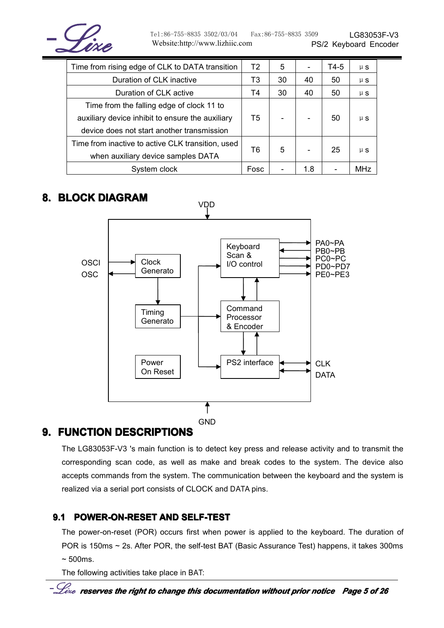

Tel:86-755-8835 3502/03/04 Fax:86-755-8835 3509 Website:http://www.lizhiic.com

| Time from rising edge of CLK to DATA transition   | T <sub>2</sub> | 5  |     | T4-5 | $\mu$ S |
|---------------------------------------------------|----------------|----|-----|------|---------|
| Duration of CLK inactive                          | T3             | 30 | 40  | 50   | $\mu$ S |
| Duration of CLK active                            | Τ4             | 30 | 40  | 50   | $\mu$ S |
| Time from the falling edge of clock 11 to         |                |    |     |      |         |
| auxiliary device inhibit to ensure the auxiliary  | T5             |    |     | 50   | $\mu$ S |
| device does not start another transmission        |                |    |     |      |         |
| Time from inactive to active CLK transition, used |                |    |     |      |         |
| when auxiliary device samples DATA                | Т6             | 5  |     | 25   | $\mu$ S |
| System clock                                      | Fosc           |    | 1.8 |      | MHz     |

## **8. BLOCK DIAGRAM**



## **9. FUNCTION DESCRIPTIONS**

The LG83053F-V3 's main function is to detect key press and release activity and to transmit the corresponding scan code, as well as make and break codes to the system. The device also accepts commands from the system. The communication between the keyboard and the system is realized via <sup>a</sup> serial port consists of CLOCK and DATA pins.

## **9.1 POWER-ON-RESET POWER-ON-RESET AND SELF-TEST SELF-TEST**

The power-on-reset (POR) occurs first when power is applied to the keyboard. The duration of POR is 150ms <sup>~</sup> 2s. After POR, the self-test BAT (Basic Assurance Test) happens, it takes 300ms  $\sim$  500ms.

The following activities take place in BAT: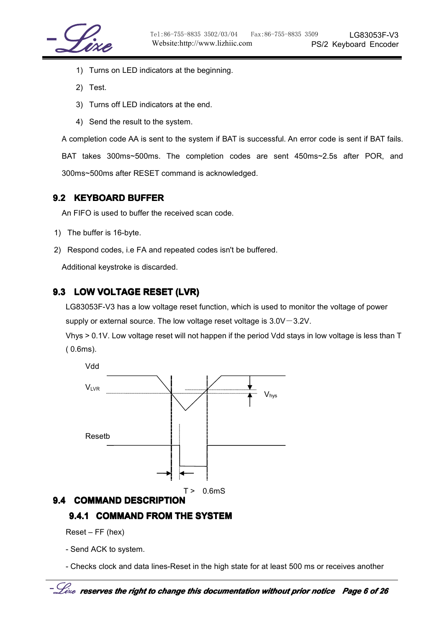

- 1) Turns on LED indicators at the beginning.
- 2) Test.
- 3) Turns off LED indicators at the end.
- 4) Send the result to the system.

A completion code AA is sent to the system if BAT is successful. An error code is sent if BAT fails.

BAT takes 300ms~500ms. The completion codes are sent 450ms~2.5s after POR, and 300ms~500ms after RESET command is acknowledged.

#### **9.2 KEYBOARD BUFFER**

An FIFO is used to buffer the received scan code.

- 1) The buffer is 16-byte.
- 2) Respond codes, i.e FA and repeated codes isn't be buffered.

Additional keystroke is discarded.

#### **9.3 LOW VOLTAGE RESET (LVR)**

LG83053F-V3 has <sup>a</sup> low voltage reset function, which is used to monitor the voltage of power supply or external source. The low voltage reset voltage is  $3.0V-3.2V$ .

Vhys >0.1V. Low voltage reset will not happen if the period Vdd stays in low voltage is less than T ( 0.6ms).



#### **9.4 COMMAND DESCRIPTION DESCRIPTION**

#### **9.4.1 COMMAND COMMANDFROM THE SYSTEM**

Reset – FF (hex)

- Send ACK to system.

- Checks clock and data lines-Reset in the high state for at least 500 ms or receives another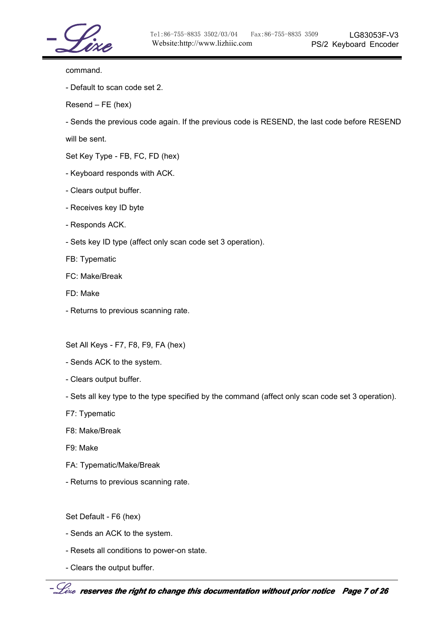

command.

- Default to scan code set 2.

Resend – FE (hex)

- Sends the previous code again. If the previous code is RESEND, the last code before RESEND

will be sent.

Set Key Type - FB, FC, FD (hex)

- Keyboard responds with ACK.
- Clears output buffer.
- Receives key ID byte
- Responds ACK.
- Sets key ID type (affect only scan code set 3 operation).

FB: Typematic

FC: Make/Break

- FD: Make
- Returns to previous scanning rate.

Set All Keys - F7, F8, F9, FA (hex)

- Sends ACK to the system.
- Clears output buffer.

- Sets all key type to the type specified by the command (affect only scan code set 3 operation).

- F7: Typematic
- F8: Make/Break
- F9: Make
- FA: Typematic/Make/Break
- Returns to previous scanning rate.

Set Default - F6 (hex)

- Sends an ACK to the system.
- Resets all conditions to power-on state.
- Clears the output buffer.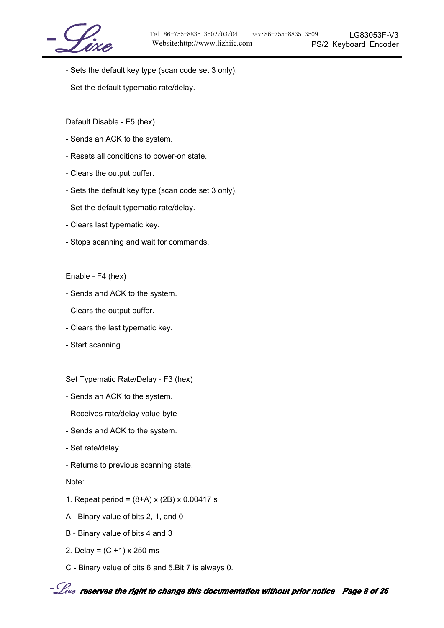

- Sets the default key type (scan code set 3 only).
- Set the default typematic rate/delay.

Default Disable - F5 (hex)

- Sends an ACK to the system.
- Resets all conditions to power-on state.
- Clears the output buffer.
- Sets the default key type (scan code set 3 only).
- Set the default typematic rate/delay.
- Clears last typematic key.
- Stops scanning and wait for commands,

Enable - F4 (hex)

- Sends and ACK to the system.
- Clears the output buffer.
- Clears the last typematic key.
- Start scanning.

Set Typematic Rate/Delay - F3 (hex)

- Sends an ACK to the system.
- Receives rate/delay value byte
- Sends and ACK to the system.
- Set rate/delay.
- Returns to previous scanning state.

Note:

- 1. Repeat period <sup>=</sup> (8+A) <sup>x</sup> (2B) <sup>x</sup> 0.00417 <sup>s</sup>
- A Binary value of bits 2, 1, and 0
- B Binary value of bits 4 and 3
- 2. Delay =  $(C + 1)$  x 250 ms
- C Binary value of bits 6 and 5.Bit 7 is always 0.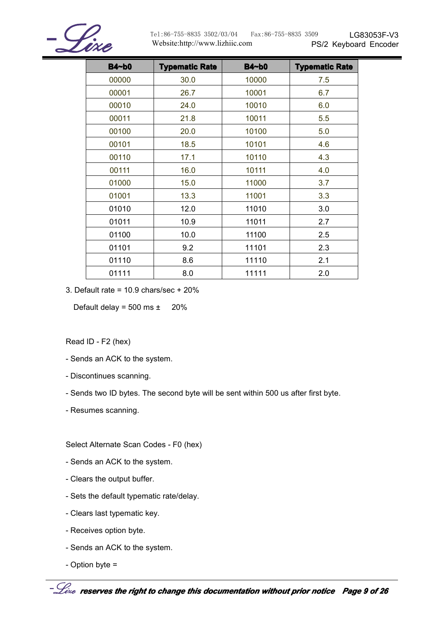

| <b>B4~b0</b> | <b>Typematic Rate</b> | <b>B4~b0</b> | <b>Typematic Rate</b> |
|--------------|-----------------------|--------------|-----------------------|
| 00000        | 30.0                  | 10000        | 7.5                   |
| 00001        | 26.7                  | 10001        | 6.7                   |
| 00010        | 24.0                  | 10010        | 6.0                   |
| 00011        | 21.8                  | 10011        | 5.5                   |
| 00100        | 20.0                  | 10100        | 5.0                   |
| 00101        | 18.5                  | 10101        | 4.6                   |
| 00110        | 17.1                  | 10110        | 4.3                   |
| 00111        | 16.0                  | 10111        | 4.0                   |
| 01000        | 15.0                  | 11000        | 3.7                   |
| 01001        | 13.3                  | 11001        | 3.3                   |
| 01010        | 12.0                  | 11010        | 3.0                   |
| 01011        | 10.9                  | 11011        | 2.7                   |
| 01100        | 10.0                  | 11100        | 2.5                   |
| 01101        | 9.2                   | 11101        | 2.3                   |
| 01110        | 8.6                   | 11110        | 2.1                   |
| 01111        | 8.0                   | 11111        | 2.0                   |

3. Default rate =  $10.9$  chars/sec +  $20\%$ 

Default delay =  $500 \text{ ms } \pm 20\%$ 

Read ID - F2 (hex)

- Sends an ACK to the system.
- Discontinues scanning.
- Sends two ID bytes. The second byte will be sent within 500 us after first byte.
- Resumes scanning.

Select Alternate Scan Codes - F0 (hex)

- Sends an ACK to the system.
- Clears the output buffer.
- Sets the default typematic rate/delay.
- Clears last typematic key.
- Receives option byte.
- Sends an ACK to the system.
- Option byte <sup>=</sup>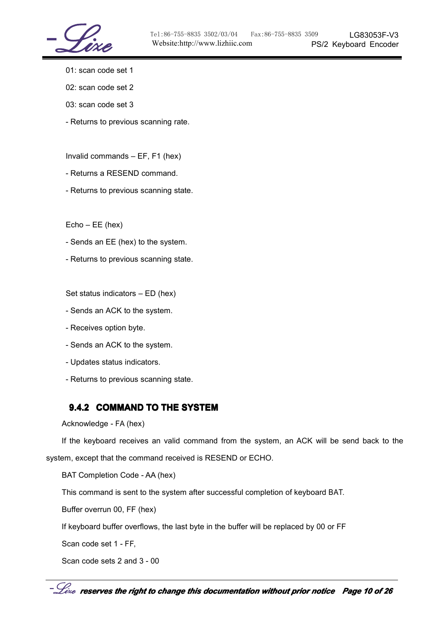- 01: scan code set 1
- 02: scan code set 2
- 03: scan code set 3
- Returns to previous scanning rate.

Invalid commands – EF, F1 (hex)

- Returns a RESEND command.
- Returns to previous scanning state.

Echo – EE (hex)

- Sends an EE (hex) to the system.
- Returns to previous scanning state.

Set status indicators – ED (hex)

- Sends an ACK to the system.
- Receives option byte.
- Sends an ACK to the system.
- Updates status indicators.
- Returns to previous scanning state.

#### **9.4.2 COMMAND COMMANDTO THE SYSTEM**

```
Acknowledge - FA (hex)
```
If the keyboard receives an valid command from the system, an ACK will be send back to the system, except that the command received is RESEND or ECHO.

BAT Completion Code - AA (hex)

This command is sent to the system after successful completion of keyboard BAT.

Buffer overrun 00, FF (hex)

If keyboard buffer overflows, the last byte in the buffer will be replaced by 00 or FF

Scan code set 1 - FF,

Scan code sets 2 and 3 - 00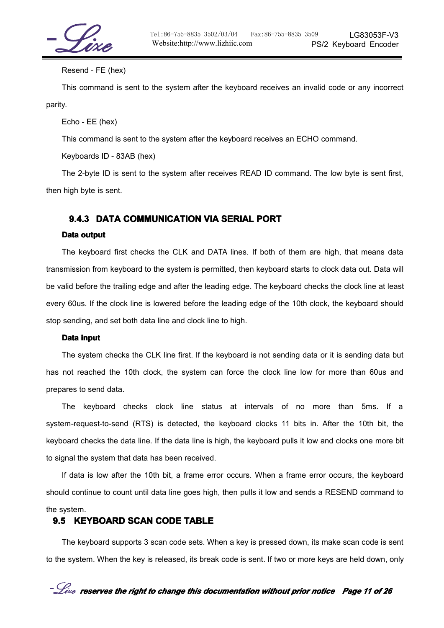

#### Resend - FE (hex)

This command is sent to the system after the keyboard receives an invalid code or any incorrect parity.

Echo - EE (hex)

This command is sent to the system after the keyboard receives an ECHO command.

Keyboards ID - 83AB (hex)

The 2-byte ID is sent to the system after receives READ ID command. The low byte is sent first, then high byte is sent.

#### **9.4.3 DATA COMMUNICATION VIA SERIAL PORT**

#### **Data output**

The keyboard first checks the CLK and DATA lines. If both of them are high, that means data transmission from keyboard to the system is permitted, then keyboard starts to clock data out. Data will be valid before the trailing edge and after the leading edge. The keyboard checks the clock line at least every 60us. If the clock line is lowered before the leading edge of the 10th clock, the keyboard should stop sending, and set both data line and clock line to high.

#### **Data input**

The system checks the CLK line first. If the keyboard is not sending data or it is sending data but has not reached the 10th clock, the system can force the clock line low for more than 60us and prepares to send data.

The keyboard checks clock line status at intervals of no more than 5ms. If <sup>a</sup> system-request-to-send (RTS) is detected, the keyboard clocks 11 bits in. After the 10th bit, the keyboard checks the data line. If the data line is high, the keyboard pulls it low and clocks one more bit to signal the system that data has been received.

If data is low after the 10th bit, <sup>a</sup> frame error occurs. When <sup>a</sup> frame error occurs, the keyboard should continue to count until data line goes high, then pulls it low and sends <sup>a</sup> RESEND command to the system.

#### **9.5 KEYBOARD KEYBOARD KEYBOARDSCAN CODE TABLE**

The keyboard supports 3 scan code sets. When <sup>a</sup> key is pressed down, its make scan code is sent to the system. When the key is released, its break code is sent. If two or more keys are held down, only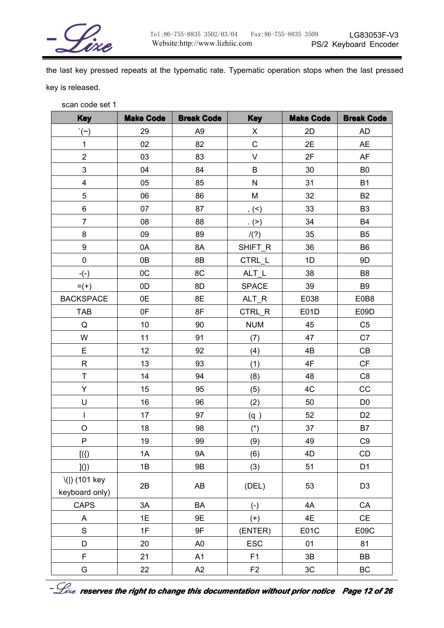

the last key pressed repeats at the typematic rate. Typematic operation stops when the last pressed key is released.

scan code set 1

| <b>Key</b>                          | <b>Make Code</b> | <b>Break Code</b> | <b>Key</b>     | <b>Make Code</b> | <b>Break Code</b> |
|-------------------------------------|------------------|-------------------|----------------|------------------|-------------------|
| $\dot{\ }$ $(\sim)$                 | 29               | A <sub>9</sub>    | $\mathsf{X}$   | 2D               | AD                |
| $\mathbf{1}$                        | 02               | 82                | $\mathsf{C}$   | 2E               | <b>AE</b>         |
| $\overline{2}$                      | 03               | 83                | V              | 2F               | AF                |
| $\mathfrak{S}$                      | 04               | 84                | B              | 30               | B <sub>0</sub>    |
| $\overline{\mathbf{4}}$             | 05               | 85                | $\mathsf{N}$   | 31               | <b>B1</b>         |
| 5                                   | 06               | 86                | M              | 32               | <b>B2</b>         |
| 6                                   | 07               | 87                | $, ( \leq )$   | 33               | B <sub>3</sub>    |
| $\overline{7}$                      | 08               | 88                | . (>)          | 34               | <b>B4</b>         |
| 8                                   | 09               | 89                | /(?)           | 35               | B <sub>5</sub>    |
| 9                                   | 0A               | 8A                | SHIFT_R        | 36               | B <sub>6</sub>    |
| $\mathbf 0$                         | 0B               | 8B                | CTRL_L         | 1D               | 9D                |
| $-(-)$                              | OC               | 8C                | $ALT_L$        | 38               | B <sub>8</sub>    |
| $= (+)$                             | 0D               | 8D                | <b>SPACE</b>   | 39               | B <sub>9</sub>    |
| <b>BACKSPACE</b>                    | 0E               | 8E                | ALT_R          | E038             | E0B8              |
| <b>TAB</b>                          | 0F               | 8F                | CTRL_R         | E01D             | E09D              |
| $\mathsf Q$                         | 10               | 90                | <b>NUM</b>     | 45               | C <sub>5</sub>    |
| W                                   | 11               | 91                | (7)            | 47               | C7                |
| E                                   | 12 <sub>2</sub>  | 92                | (4)            | 4B               | CB                |
| R                                   | 13               | 93                | (1)            | 4F               | <b>CF</b>         |
| T                                   | 14               | 94                | (8)            | 48               | C8                |
| Y                                   | 15               | 95                | (5)            | 4C               | CC                |
| U                                   | 16               | 96                | (2)            | 50               | D <sub>0</sub>    |
| $\mathbf{I}$                        | 17               | 97                | (q)            | 52               | D <sub>2</sub>    |
| $\circ$                             | 18               | 98                | $(*)$          | 37               | <b>B7</b>         |
| ${\sf P}$                           | 19               | 99                | (9)            | 49               | C <sub>9</sub>    |
| $[$ ({)]                            | 1A               | 9A                | (6)            | 4D               | $\mathsf{CD}$     |
| $\vert\!\!\vert\!\!\vert\!\!\vert)$ | 1B               | 9B                | (3)            | 51               | D <sub>1</sub>    |
| \( ) (101 key<br>keyboard only)     | 2B               | AB                | (DEL)          | 53               | D <sub>3</sub>    |
| <b>CAPS</b>                         | 3A               | BA                | $(-)$          | 4A               | CA                |
| A                                   | 1E               | 9E                | $(+)$          | 4E               | CE                |
| $\mathsf S$                         | 1F               | 9F                | (ENTER)        | E01C             | E09C              |
| D                                   | 20               | A <sub>0</sub>    | <b>ESC</b>     | 01               | 81                |
| F                                   | 21               | A1                | F <sub>1</sub> | 3B               | BB                |
| G                                   | 22               | A <sub>2</sub>    | F <sub>2</sub> | 3C               | BC                |

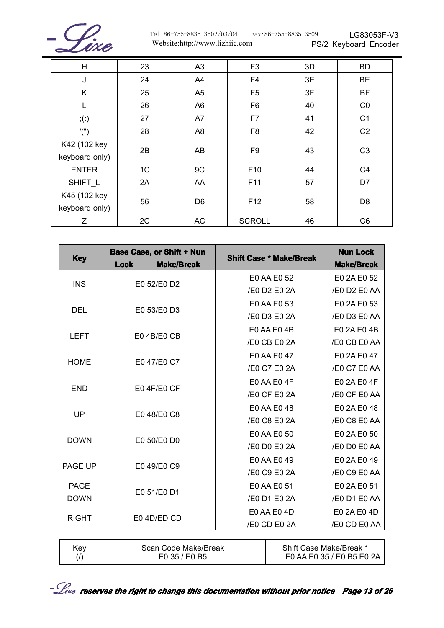

| H                              | 23 | A3             | F <sub>3</sub>  | 3D | <b>BD</b>      |
|--------------------------------|----|----------------|-----------------|----|----------------|
| J                              | 24 | A4             | F <sub>4</sub>  | 3E | <b>BE</b>      |
| K                              | 25 | A <sub>5</sub> | F <sub>5</sub>  | 3F | <b>BF</b>      |
|                                | 26 | A <sub>6</sub> | F <sub>6</sub>  | 40 | CO             |
| $;$ $\left( \cdot \right)$     | 27 | A7             | F7              | 41 | C <sub>1</sub> |
| '('')                          | 28 | A <sub>8</sub> | F <sub>8</sub>  | 42 | C <sub>2</sub> |
| K42 (102 key<br>keyboard only) | 2B | AB             | F <sub>9</sub>  | 43 | C <sub>3</sub> |
| <b>ENTER</b>                   | 1C | 9C             | F <sub>10</sub> | 44 | C <sub>4</sub> |
| SHIFT L                        | 2A | AA             | F11             | 57 | D7             |
| K45 (102 key<br>keyboard only) | 56 | D <sub>6</sub> | F <sub>12</sub> | 58 | D <sub>8</sub> |
| Ζ                              | 2C | <b>AC</b>      | <b>SCROLL</b>   | 46 | C <sub>6</sub> |

| <b>Key</b>   | <b>Base Case, or Shift + Nun</b><br><b>Make/Break</b><br><b>Lock</b> |              | <b>Shift Case * Make/Break</b> | <b>Nun Lock</b><br><b>Make/Break</b> |
|--------------|----------------------------------------------------------------------|--------------|--------------------------------|--------------------------------------|
|              |                                                                      |              | E0 AA E0 52                    | E0 2A E0 52                          |
| <b>INS</b>   | E0 52/E0 D2                                                          |              | /E0 D2 E0 2A                   | /E0 D2 E0 AA                         |
|              |                                                                      |              | E0 AA E0 53                    | E0 2A E0 53                          |
| <b>DEL</b>   | E0 53/E0 D3                                                          |              | /E0 D3 E0 2A                   | /E0 D3 E0 AA                         |
|              |                                                                      |              | E0 AA E0 4B                    | E0 2A E0 4B                          |
|              | <b>LEFT</b><br>E04B/E0CB                                             |              | /E0 CB E0 2A                   | /E0 CB E0 AA                         |
|              |                                                                      |              | E0 AA E0 47                    | E0 2A E0 47                          |
| <b>HOME</b>  | E0 47/E0 C7                                                          |              | /E0 C7 E0 2A                   |                                      |
|              |                                                                      |              | E0 AA E0 4F                    | E0 2A E0 4F                          |
| <b>END</b>   | E04F/E0CF                                                            |              | /E0 CF E0 2A                   | /E0 CF E0 AA                         |
|              |                                                                      | E0 AA E0 48  |                                | E0 2A E0 48                          |
| UP           | E0 48/E0 C8                                                          |              | /E0 C8 E0 2A                   | /E0 C8 E0 AA                         |
|              |                                                                      |              | E0 AA E0 50                    | E0 2A E0 50                          |
| <b>DOWN</b>  | E0 50/E0 D0                                                          | /E0 D0 E0 2A |                                | /E0 D0 E0 AA                         |
| PAGE UP      | E0 49/E0 C9                                                          |              | E0 AA E0 49                    | E0 2A E0 49                          |
|              |                                                                      |              | /E0 C9 E0 2A                   | /E0 C9 E0 AA                         |
| <b>PAGE</b>  | E0 51/E0 D1                                                          |              | E0 AA E0 51                    | E0 2A E0 51                          |
| <b>DOWN</b>  |                                                                      | /E0 D1 E0 2A |                                | /E0 D1 E0 AA                         |
| <b>RIGHT</b> | E04D/ED CD                                                           |              | E0 AA E0 4D                    |                                      |
|              |                                                                      | /E0 CD E0 2A |                                | /E0 CD E0 AA                         |
|              |                                                                      |              |                                |                                      |
| Key<br>(1)   | Scan Code Make/Break<br>E0 35 / E0 B5                                |              | Shift Case Make/Break *        | E0 AA E0 35 / E0 B5 E0 2A            |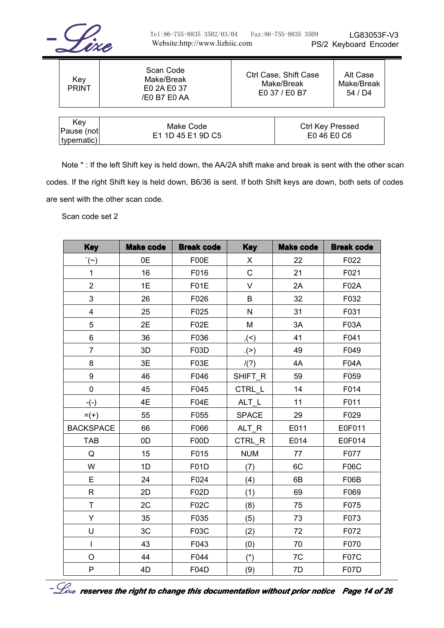

| Key<br><b>PRINT</b>             | Scan Code<br>Make/Break<br>E0 2A E0 37<br>/E0 B7 E0 AA | Ctrl Case, Shift Case<br>Make/Break<br>E0 37 / E0 B7 |                                 | Alt Case<br>Make/Break<br>54 / D4 |
|---------------------------------|--------------------------------------------------------|------------------------------------------------------|---------------------------------|-----------------------------------|
| Key<br>Pause (not<br>typematic) | Make Code<br>E1 1D 45 E1 9D C5                         |                                                      | Ctrl Key Pressed<br>E0 46 E0 C6 |                                   |

Note \* : If the left Shift key is held down, the AA/2A shift make and break is sent with the other scan codes. If the right Shift key is held down, B6/36 is sent. If both Shift keys are down, both sets of codes are sent with the other scan code.

Scan code set 2

| <b>Key</b>              | <b>Make code</b> | <b>Break code</b> | <b>Key</b>   | <b>Make code</b> | <b>Break code</b> |
|-------------------------|------------------|-------------------|--------------|------------------|-------------------|
| $\dot{\ }$ $(\sim)$     | 0E               | F00E              | X            | 22               | F022              |
| $\mathbf{1}$            | 16               | F016              | $\mathsf{C}$ | 21               | F021              |
| $\overline{2}$          | 1E               | F01E              | $\vee$       | 2A               | <b>F02A</b>       |
| 3                       | 26               | F026              | B            | 32               | F032              |
| $\overline{\mathbf{4}}$ | 25               | F025              | $\mathsf{N}$ | 31               | F031              |
| 5                       | 2E               | <b>F02E</b>       | M            | 3A               | F03A              |
| 6                       | 36               | F036              | ,(<)         | 41               | F041              |
| $\overline{7}$          | 3D               | F03D              | $(>)$ .      | 49               | F049              |
| 8                       | 3E               | F03E              | /(?)         | 4A               | <b>F04A</b>       |
| 9                       | 46               | F046              | SHIFT_R      | 59               | F059              |
| $\mathbf 0$             | 45               | F045              | CTRL_L       | 14               | F014              |
| $-(-)$                  | 4E               | F04E              | ALT_L        | 11               | F011              |
| $= (+)$                 | 55               | F055              | <b>SPACE</b> | 29               | F029              |
| <b>BACKSPACE</b>        | 66               | F066              | $ALT_R$      | E011             | E0F011            |
| <b>TAB</b>              | 0D               | F00D              | CTRL_R       | E014             | E0F014            |
| Q                       | 15               | F015              | <b>NUM</b>   | 77               | F077              |
| W                       | 1D               | F01D              | (7)          | 6C               | F06C              |
| E                       | 24               | F024              | (4)          | 6B               | F06B              |
| $\mathsf{R}$            | 2D               | F02D              | (1)          | 69               | F069              |
| T                       | 2C               | F02C              | (8)          | 75               | F075              |
| Y                       | 35               | F035              | (5)          | 73               | F073              |
| U                       | 3C               | F03C              | (2)          | 72               | F072              |
| $\overline{1}$          | 43               | F043              | (0)          | 70               | F070              |
| O                       | 44               | F044              | $(*)$        | 7C               | F07C              |
| P                       | 4D               | F04D              | (9)          | 7D               | F07D              |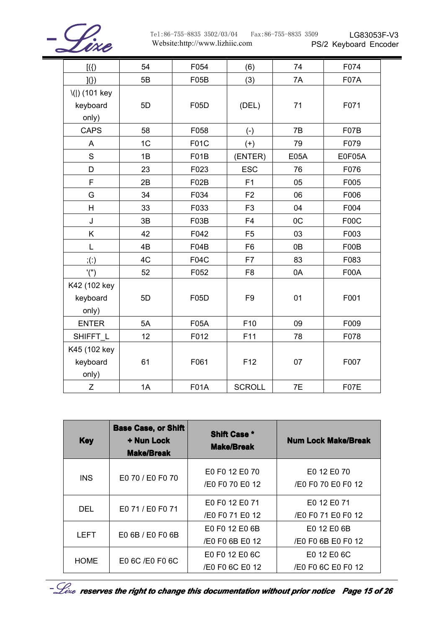

| $[$ ({)]              | 54             | F054        | (6)             | 74   | F074   |
|-----------------------|----------------|-------------|-----------------|------|--------|
| $\vert\!\!\vert(\}$   | 5B             | F05B        | (3)             | 7A   | F07A   |
| \( ) (101 key         |                |             |                 |      |        |
| keyboard              | 5D             | F05D        | (DEL)           | 71   | F071   |
| only)                 |                |             |                 |      |        |
| <b>CAPS</b>           | 58             | F058        | $(-)$           | 7B   | F07B   |
| A                     | 1 <sup>C</sup> | F01C        | $(+)$           | 79   | F079   |
| S                     | 1B             | F01B        | (ENTER)         | E05A | E0F05A |
| D                     | 23             | F023        | <b>ESC</b>      | 76   | F076   |
| $\mathsf F$           | 2B             | F02B        | F <sub>1</sub>  | 05   | F005   |
| G                     | 34             | F034        | F <sub>2</sub>  | 06   | F006   |
| H                     | 33             | F033        | F <sub>3</sub>  | 04   | F004   |
| J                     | 3B             | F03B        | F <sub>4</sub>  | 0C   | F00C   |
| K                     | 42             | F042        | F <sub>5</sub>  | 03   | F003   |
| L                     | 4B             | F04B        | F <sub>6</sub>  | 0B   | F00B   |
| $\dot{a}(\dot{\phi})$ | 4C             | <b>F04C</b> | F7              | 83   | F083   |
| '('')                 | 52             | F052        | F <sub>8</sub>  | 0A   | F00A   |
| K42 (102 key          |                |             |                 |      |        |
| keyboard              | 5D             | F05D        | F <sub>9</sub>  | 01   | F001   |
| only)                 |                |             |                 |      |        |
| <b>ENTER</b>          | 5A             | <b>F05A</b> | F10             | 09   | F009   |
| SHIFFT_L              | 12             | F012        | F11             | 78   | F078   |
| K45 (102 key          |                |             |                 |      |        |
| keyboard              | 61             | F061        | F <sub>12</sub> | 07   | F007   |
| only)                 |                |             |                 |      |        |
| Z                     | 1A             | <b>F01A</b> | <b>SCROLL</b>   | 7E   | F07E   |

| <b>Key</b>  | <b>Base Case, or Shift</b><br>+ Nun Lock<br><b>Make/Break</b> | <b>Shift Case *</b><br><b>Make/Break</b> | <b>Num Lock Make/Break</b>        |
|-------------|---------------------------------------------------------------|------------------------------------------|-----------------------------------|
| INS.        | E0 70 / E0 F0 70                                              | E0 F0 12 E0 70<br>/E0 F0 70 E0 12        | E0 12 E0 70<br>/E0 F0 70 E0 F0 12 |
| DEL         | E0 71 / E0 F0 71                                              | E0 F0 12 E0 71<br>/E0 F0 71 E0 12        | E0 12 E0 71<br>/E0 F0 71 E0 F0 12 |
| <b>LEFT</b> | E0 6B / E0 F0 6B                                              | E0 F0 12 E0 6B<br>/E0 F0 6B E0 12        | E0 12 E0 6B<br>/E0 F0 6B E0 F0 12 |
| <b>HOME</b> | E0 6C /E0 F0 6C                                               | E0 F0 12 E0 6C<br>/E0 F0 6C E0 12        | E0 12 E0 6C<br>/E0 F0 6C E0 F0 12 |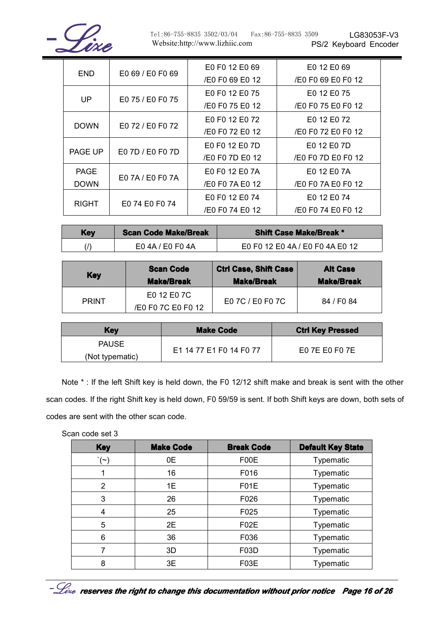

Tel:86-755-8835 3502/03/04 Fax:86-755-8835 3509 Website:http://www.lizhiic.com

LG83053F-V3 PS/2 Keyboard Encoder

|  | END.                            | E0 69 / E0 F0 69 | E0 F0 12 E0 69<br>/E0 F0 69 E0 12 | E0 12 E0 69<br>/E0 F0 69 E0 F0 12 |
|--|---------------------------------|------------------|-----------------------------------|-----------------------------------|
|  | UP.                             |                  | E0 F0 12 E0 75                    | E0 12 E0 75                       |
|  |                                 | E0 75 / E0 F0 75 | /E0 F0 75 E0 12                   | /E0 F0 75 E0 F0 12                |
|  |                                 |                  | E0 F0 12 F0 72                    | E0 12 E0 72                       |
|  | <b>DOWN</b><br>E0 72 / E0 F0 72 |                  | /E0 F0 72 E0 12                   | /E0 F0 72 E0 F0 12                |
|  | PAGE UP                         |                  | E0 F0 12 E0 7D                    | E0 12 E0 7D                       |
|  |                                 | E0 7D / E0 F0 7D | /E0 F0 7D E0 12                   | /E0 F0 7D E0 F0 12                |
|  | <b>PAGE</b>                     |                  | E0 F0 12 E0 7A                    | E0 12 E0 7A                       |
|  | E0 7A / E0 F0 7A<br><b>DOWN</b> | /E0 F0 7A E0 12  | /E0 F0 7A E0 F0 12                |                                   |
|  | E0 74 E0 F0 74<br><b>RIGHT</b>  | E0 F0 12 E0 74   | E0 12 E0 74                       |                                   |
|  |                                 | /E0 F0 74 E0 12  | /E0 F0 74 E0 F0 12                |                                   |

| <b>Key</b> | <b>Scan Code Make/Break</b> | <b>Shift Case Make/Break *</b>  |
|------------|-----------------------------|---------------------------------|
|            | E04A/E0F04A                 | E0 F0 12 E0 4A / E0 F0 4A E0 12 |

| <b>Key</b>   | <b>Scan Code</b><br><b>Make/Break</b> | <b>Ctrl Case, Shift Case</b><br><b>Make/Break</b> | <b>Alt Case</b><br><b>Make/Break</b> |
|--------------|---------------------------------------|---------------------------------------------------|--------------------------------------|
|              | E0 12 E0 7C                           |                                                   |                                      |
| <b>PRINT</b> | /E0 F0 7C E0 F0 12                    | E0 7C / E0 F0 7C<br>84 / F0 84                    |                                      |

| <b>Key</b>      | <b>Make Code</b>        | <b>Ctrl Key Pressed</b> |  |
|-----------------|-------------------------|-------------------------|--|
| <b>PAUSE</b>    |                         |                         |  |
| (Not typematic) | E1 14 77 E1 F0 14 F0 77 | E0 7E E0 F0 7E          |  |

Note \*: If the left Shift key is held down, the F0 12/12 shift make and break is sent with the other scan codes. If the right Shift key is held down, F0 59/59 is sent. If both Shift keys are down, both sets of codes are sent with the other scan code.

Scan code set 3

| <b>Key</b>       | <b>Make Code</b> | <b>Break Code</b> | <b>Default Key State</b> |
|------------------|------------------|-------------------|--------------------------|
| $\cdot$ $(\sim)$ | 0E               | F00E              | Typematic                |
| 1                | 16               | F016              | Typematic                |
| 2                | 1E               | F01E              | Typematic                |
| 3                | 26               | F026              | Typematic                |
| 4                | 25               | F025              | Typematic                |
| 5                | 2E               | F02E              | Typematic                |
| 6                | 36               | F036              | Typematic                |
| 7                | 3D               | F <sub>0</sub> 3D | <b>Typematic</b>         |
| 8                | 3E               | F03E              | <b>Typematic</b>         |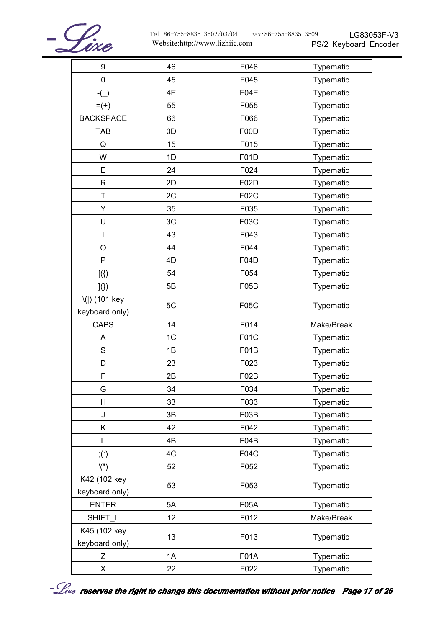

| $\boldsymbol{9}$                | 46             | F046        | Typematic  |
|---------------------------------|----------------|-------------|------------|
| $\pmb{0}$                       | 45             | F045        | Typematic  |
| $-(-)$                          | 4E             | <b>F04E</b> | Typematic  |
| $= (+)$                         | 55             | F055        | Typematic  |
| <b>BACKSPACE</b>                | 66             | F066        | Typematic  |
| <b>TAB</b>                      | 0D             | F00D        | Typematic  |
| Q                               | 15             | F015        | Typematic  |
| W                               | 1D             | <b>F01D</b> | Typematic  |
| E                               | 24             | F024        | Typematic  |
| $\mathsf R$                     | 2D             | F02D        | Typematic  |
| Τ                               | 2C             | F02C        | Typematic  |
| Υ                               | 35             | F035        | Typematic  |
| U                               | 3C             | F03C        | Typematic  |
| I                               | 43             | F043        | Typematic  |
| O                               | 44             | F044        | Typematic  |
| P                               | 4D             | F04D        | Typematic  |
| $[$ ({)]                        | 54             | F054        | Typematic  |
| $\vert\!\!\vert\!\!\vert)$      | 5B             | F05B        | Typematic  |
| \( ) (101 key<br>keyboard only) | 5C             | <b>F05C</b> | Typematic  |
| <b>CAPS</b>                     | 14             | F014        | Make/Break |
| A                               | 1 <sup>C</sup> | F01C        | Typematic  |
| $\mathbf S$                     | 1B             | F01B        | Typematic  |
| D                               | 23             | F023        | Typematic  |
| F                               | 2B             | F02B        | Typematic  |
| G                               | 34             | F034        | Typematic  |
| H                               | 33             | F033        | Typematic  |
| J                               | 3B             | F03B        | Typematic  |
| Κ                               | 42             | F042        | Typematic  |
| L                               | 4B             | F04B        | Typematic  |
| ; (.)                           | 4C             | <b>F04C</b> | Typematic  |
| '('')                           | 52             | F052        | Typematic  |
| K42 (102 key<br>keyboard only)  | 53             | F053        | Typematic  |
| <b>ENTER</b>                    | 5A             | F05A        | Typematic  |
| SHIFT_L                         | 12             | F012        | Make/Break |
| K45 (102 key<br>keyboard only)  | 13             | F013        | Typematic  |
| Ζ                               | 1A             | <b>F01A</b> | Typematic  |
| X                               | 22             | F022        | Typematic  |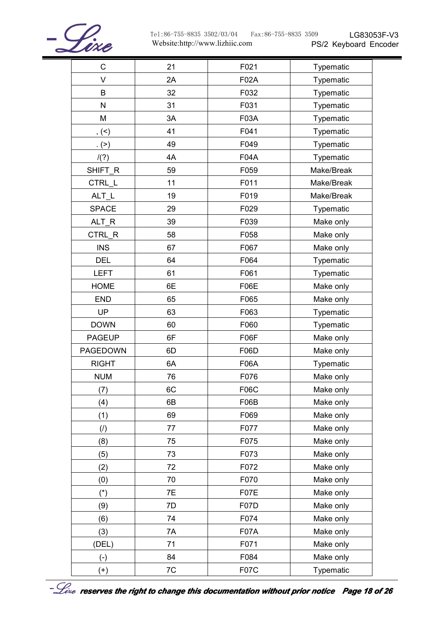

LG83053F-V3

| $\mathsf C$   | 21 | F021        | Typematic  |
|---------------|----|-------------|------------|
| $\vee$        | 2A | F02A        | Typematic  |
| B             | 32 | F032        | Typematic  |
| N             | 31 | F031        | Typematic  |
| M             | 3A | F03A        | Typematic  |
| , (           | 41 | F041        | Typematic  |
| . (>)         | 49 | F049        | Typematic  |
| /(?)          | 4A | <b>F04A</b> | Typematic  |
| SHIFT_R       | 59 | F059        | Make/Break |
| CTRL_L        | 11 | F011        | Make/Break |
| $ALT_L$       | 19 | F019        | Make/Break |
| <b>SPACE</b>  | 29 | F029        | Typematic  |
| ALT_R         | 39 | F039        | Make only  |
| CTRL R        | 58 | F058        | Make only  |
| <b>INS</b>    | 67 | F067        | Make only  |
| <b>DEL</b>    | 64 | F064        | Typematic  |
| <b>LEFT</b>   | 61 | F061        | Typematic  |
| <b>HOME</b>   | 6E | <b>F06E</b> | Make only  |
| <b>END</b>    | 65 | F065        | Make only  |
| <b>UP</b>     | 63 | F063        | Typematic  |
| <b>DOWN</b>   | 60 | F060        | Typematic  |
| <b>PAGEUP</b> | 6F | F06F        | Make only  |
| PAGEDOWN      | 6D | <b>F06D</b> | Make only  |
| <b>RIGHT</b>  | 6A | <b>F06A</b> | Typematic  |
| <b>NUM</b>    | 76 | F076        | Make only  |
| (7)           | 6C | F06C        | Make only  |
| (4)           | 6B | F06B        | Make only  |
| (1)           | 69 | F069        | Make only  |
| (1)           | 77 | F077        | Make only  |
| (8)           | 75 | F075        | Make only  |
| (5)           | 73 | F073        | Make only  |
| (2)           | 72 | F072        | Make only  |
| (0)           | 70 | F070        | Make only  |
| $(*)$         | 7E | F07E        | Make only  |
| (9)           | 7D | <b>F07D</b> | Make only  |
| (6)           | 74 | F074        | Make only  |
| (3)           | 7A | F07A        | Make only  |
| (DEL)         | 71 | F071        | Make only  |
| $(-)$         | 84 | F084        | Make only  |
| $(+)$         | 7C | <b>F07C</b> | Typematic  |



-  $\mathcal{L}_{\emph{exe}}$  reserves the right to change this documentation without prior notice Page 18 of 26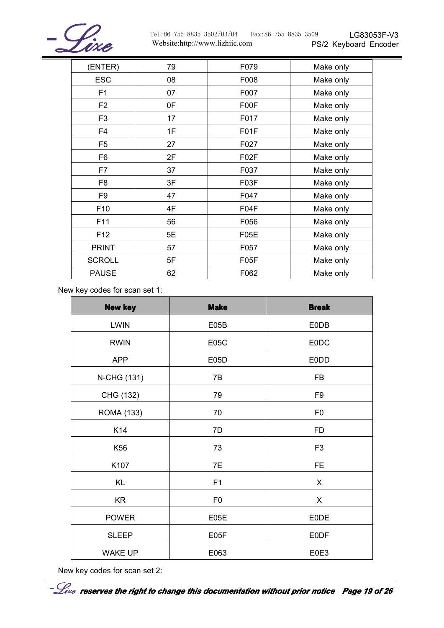

| (ENTER)         | 79 | F079              | Make only |
|-----------------|----|-------------------|-----------|
| <b>ESC</b>      | 08 | F008              | Make only |
| F <sub>1</sub>  | 07 | F007              | Make only |
| F <sub>2</sub>  | 0F | F00F              | Make only |
| F <sub>3</sub>  | 17 | F017              | Make only |
| F4              | 1F | F01F              | Make only |
| F <sub>5</sub>  | 27 | F027              | Make only |
| F <sub>6</sub>  | 2F | F <sub>02</sub> F | Make only |
| F7              | 37 | F037              | Make only |
| F8              | 3F | F03F              | Make only |
| F <sub>9</sub>  | 47 | F047              | Make only |
| F10             | 4F | F04F              | Make only |
| F11             | 56 | F056              | Make only |
| F <sub>12</sub> | 5E | F05E              | Make only |
| <b>PRINT</b>    | 57 | F057              | Make only |
| <b>SCROLL</b>   | 5F | F05F              | Make only |
| <b>PAUSE</b>    | 62 | F062              | Make only |

New key codes for scan set 1:

| <b>New key</b>    | <b>Make</b>    | <b>Break</b>   |
|-------------------|----------------|----------------|
| <b>LWIN</b>       | E05B           | <b>E0DB</b>    |
| <b>RWIN</b>       | <b>E05C</b>    | <b>EODC</b>    |
| <b>APP</b>        | E05D           | <b>E0DD</b>    |
| N-CHG (131)       | 7B             | <b>FB</b>      |
| CHG (132)         | 79             | F <sub>9</sub> |
| <b>ROMA (133)</b> | 70             | F <sub>0</sub> |
| K14               | 7D             | <b>FD</b>      |
| K56               | 73             | F <sub>3</sub> |
| K107              | 7E             | <b>FE</b>      |
| <b>KL</b>         | F1             | X              |
| <b>KR</b>         | F <sub>0</sub> | X              |
| <b>POWER</b>      | E05E           | <b>EODE</b>    |
| <b>SLEEP</b>      | E05F           | <b>EODF</b>    |
| <b>WAKE UP</b>    | E063           | E0E3           |

New key codes for scan set 2: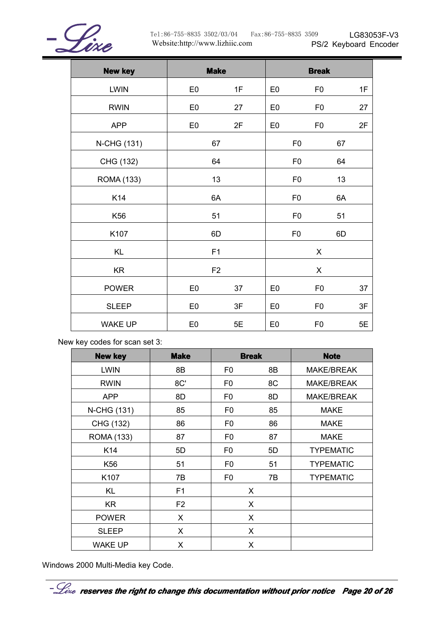

PS/2 Keyboard Encoder Website:http://www.lizhiic.com Tel:86-755-8835 3502/03/04 Fax:86-755-8835 3509

LG83053F-V3

| <b>New key</b>    | <b>Make</b>    |    |                | <b>Break</b>   |    |    |
|-------------------|----------------|----|----------------|----------------|----|----|
| <b>LWIN</b>       | E <sub>0</sub> | 1F | E <sub>0</sub> | F <sub>0</sub> |    | 1F |
| <b>RWIN</b>       | E <sub>0</sub> | 27 | E <sub>0</sub> | F <sub>0</sub> |    | 27 |
| <b>APP</b>        | E <sub>0</sub> | 2F | E <sub>0</sub> | F <sub>0</sub> |    | 2F |
| N-CHG (131)       | 67             |    |                | F <sub>0</sub> | 67 |    |
| CHG (132)         | 64             |    |                | F <sub>0</sub> | 64 |    |
| <b>ROMA (133)</b> | 13             |    |                | F <sub>0</sub> | 13 |    |
| K14               | 6A             |    |                | F <sub>0</sub> | 6A |    |
| K56               | 51             |    |                | F <sub>0</sub> | 51 |    |
| K107              | 6D             |    | F <sub>0</sub> |                | 6D |    |
| <b>KL</b>         | F <sub>1</sub> |    | X              |                |    |    |
| <b>KR</b>         | F <sub>2</sub> |    | X              |                |    |    |
| <b>POWER</b>      | E <sub>0</sub> | 37 | E <sub>0</sub> | F <sub>0</sub> |    | 37 |
| <b>SLEEP</b>      | E <sub>0</sub> | 3F | E <sub>0</sub> | F <sub>0</sub> |    | 3F |
| <b>WAKE UP</b>    | E <sub>0</sub> | 5E | E <sub>0</sub> | F <sub>0</sub> |    | 5E |

New key codes for scan set 3:

| <b>New key</b>    | <b>Make</b>    |                | <b>Break</b> | <b>Note</b>       |
|-------------------|----------------|----------------|--------------|-------------------|
| <b>LWIN</b>       | 8B             | F <sub>0</sub> | 8B           | <b>MAKE/BREAK</b> |
| <b>RWIN</b>       | 8C'            | F <sub>0</sub> | 8C           | <b>MAKE/BREAK</b> |
| <b>APP</b>        | 8D             | F <sub>0</sub> | 8D           | <b>MAKE/BREAK</b> |
| N-CHG (131)       | 85             | F <sub>0</sub> | 85           | <b>MAKE</b>       |
| CHG (132)         | 86             | F <sub>0</sub> | 86           | <b>MAKE</b>       |
| <b>ROMA (133)</b> | 87             | F <sub>0</sub> | 87           | <b>MAKE</b>       |
| K14               | 5D             | F <sub>0</sub> | 5D           | <b>TYPEMATIC</b>  |
| K56               | 51             | F <sub>0</sub> | 51           | <b>TYPEMATIC</b>  |
| K107              | 7B             | F <sub>0</sub> | 7B           | <b>TYPEMATIC</b>  |
| KL                | F <sub>1</sub> |                | X            |                   |
| KR.               | F <sub>2</sub> |                | X            |                   |
| <b>POWER</b>      | X              |                | X            |                   |
| <b>SLEEP</b>      | X              |                | X            |                   |
| <b>WAKE UP</b>    | X              |                | X            |                   |

Windows 2000 Multi-Media key Code.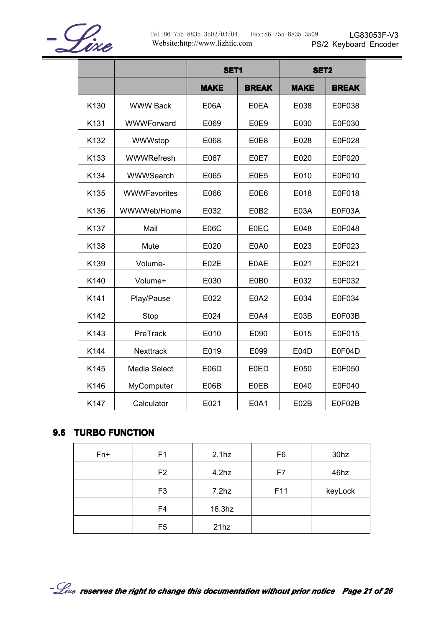

|      |                     | <b>SET1</b> |              | <b>SET2</b> |              |
|------|---------------------|-------------|--------------|-------------|--------------|
|      |                     | <b>MAKE</b> | <b>BREAK</b> | <b>MAKE</b> | <b>BREAK</b> |
| K130 | <b>WWW Back</b>     | <b>E06A</b> | <b>E0EA</b>  | E038        | E0F038       |
| K131 | WWWForward          | E069        | E0E9         | E030        | E0F030       |
| K132 | WWWstop             | E068        | E0E8         | E028        | E0F028       |
| K133 | <b>WWWRefresh</b>   | E067        | E0E7         | E020        | E0F020       |
| K134 | WWWSearch           | E065        | E0E5         | E010        | E0F010       |
| K135 | <b>WWWFavorites</b> | E066        | E0E6         | E018        | E0F018       |
| K136 | WWWWeb/Home         | E032        | E0B2         | E03A        | E0F03A       |
| K137 | Mail                | <b>E06C</b> | <b>E0EC</b>  | E048        | E0F048       |
| K138 | Mute                | E020        | E0A0         | E023        | E0F023       |
| K139 | Volume-             | E02E        | E0AE         | E021        | E0F021       |
| K140 | Volume+             | E030        | E0B0         | E032        | E0F032       |
| K141 | Play/Pause          | E022        | E0A2         | E034        | E0F034       |
| K142 | Stop                | E024        | E0A4         | E03B        | E0F03B       |
| K143 | PreTrack            | E010        | E090         | E015        | E0F015       |
| K144 | <b>Nexttrack</b>    | E019        | E099         | E04D        | E0F04D       |
| K145 | Media Select        | E06D        | <b>E0ED</b>  | E050        | E0F050       |
| K146 | MyComputer          | E06B        | <b>E0EB</b>  | E040        | E0F040       |
| K147 | Calculator          | E021        | E0A1         | E02B        | E0F02B       |

#### **9.6 TURBO FUNCTION FUNCTION FUNCTION**

| $Fn+$ | F <sub>1</sub> | 2.1 <sub>hz</sub> | F <sub>6</sub> | 30 <sub>hz</sub> |
|-------|----------------|-------------------|----------------|------------------|
|       | F <sub>2</sub> | 4.2 <sub>hz</sub> | F7             | 46hz             |
|       | F <sub>3</sub> | 7.2 <sub>hz</sub> | F11            | keyLock          |
|       | F <sub>4</sub> | $16.3$ hz         |                |                  |
|       | F <sub>5</sub> | 21hz              |                |                  |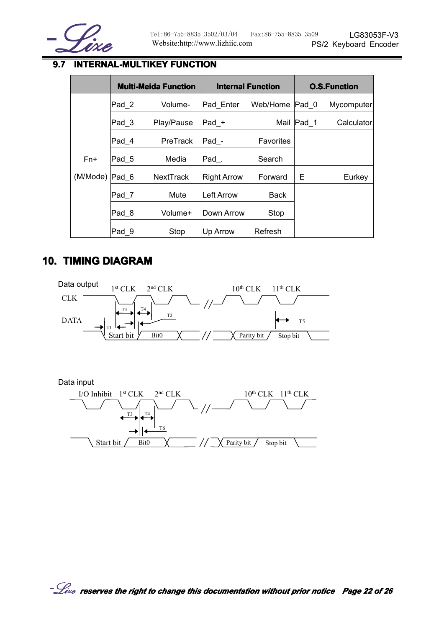

## **9.7 INTERNAL-MULTIKEY FUNCTION**

|          | <b>Multi-Meida Function</b> |                  |             | <b>Internal Function</b> | <b>O.S.Function</b> |            |
|----------|-----------------------------|------------------|-------------|--------------------------|---------------------|------------|
|          | Pad 2                       | Volume-          | Pad Enter   | Web/Home                 | Pad 0               | Mycomputer |
|          | $\mathsf{Pad}\_3$           | Play/Pause       | $Pad_+$     | Mail                     | $\textsf{Pad}$ 1    | Calculator |
|          | Pad 4                       | PreTrack         | Pad -       | Favorites                |                     |            |
| Fn+      | Pad 5                       | Media            | Pad.        | Search                   |                     |            |
| (M/Mode) | Pad 6                       | <b>NextTrack</b> | Right Arrow | Forward                  | Е                   | Eurkey     |
|          | Pad <sub>7</sub>            | Mute             | Left Arrow  | <b>Back</b>              |                     |            |
|          | Pad 8                       | Volume+          | Down Arrow  | Stop                     |                     |            |
|          | Pad 9                       | Stop             | Up Arrow    | Refresh                  |                     |            |

## **10. TIMING DIAGRAM**



Data input

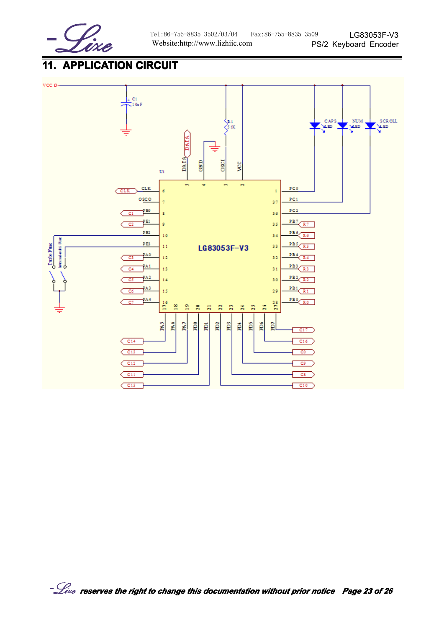

## **11. APPLICATION APPLICATION APPLICATION CIRCUIT CIRCUIT CIRCUIT**

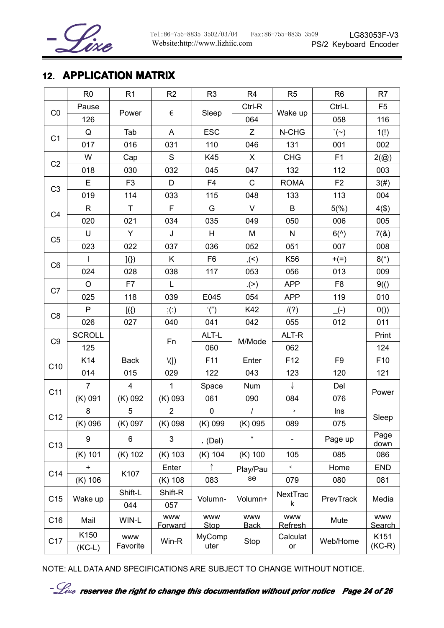

## **12. APPLICATION APPLICATION APPLICATION MATRIX**

|                       | R <sub>0</sub> | R1                                  | R <sub>2</sub>               | R <sub>3</sub>            | R <sub>4</sub>            | R <sub>5</sub>               | R <sub>6</sub>      | R7                          |
|-----------------------|----------------|-------------------------------------|------------------------------|---------------------------|---------------------------|------------------------------|---------------------|-----------------------------|
| CO                    | Pause          |                                     | $\epsilon$                   |                           | Ctrl-R                    |                              | Ctrl-L              | F <sub>5</sub>              |
|                       | 126            | Power                               |                              | Sleep                     | 064                       | Wake up                      | 058                 | 116                         |
| C <sub>1</sub>        | Q              | Tab                                 | A                            | <b>ESC</b>                | Z                         | N-CHG                        | $\dot{\ }$ $(\sim)$ | 1(!)                        |
|                       | 017            | 016                                 | 031                          | 110                       | 046                       | 131                          | 001                 | 002                         |
|                       | W              | Cap                                 | S                            | K45                       | X                         | <b>CHG</b>                   | F1                  | $2(\textcircled{a})$        |
| C <sub>2</sub><br>018 |                | 030                                 | 032                          | 045                       | 047                       | 132                          | 112                 | 003                         |
|                       | E              | F <sub>3</sub>                      | D                            | F <sub>4</sub>            | $\mathsf{C}$              | <b>ROMA</b>                  | F <sub>2</sub>      | 3(#)                        |
| C <sub>3</sub>        | 019            | 114                                 | 033                          | 115                       | 048                       | 133                          | 113                 | 004                         |
|                       | $\mathsf{R}$   | $\mathsf{T}$                        | F                            | G                         | V                         | B                            | 5(%)                | 4(1)                        |
| C <sub>4</sub>        | 020            | 021                                 | 034                          | 035                       | 049                       | 050                          | 006                 | 005                         |
| C <sub>5</sub>        | U              | Y                                   | J                            | H                         | M                         | N                            | $6(^{\wedge})$      | 7(8)                        |
|                       | 023            | 022                                 | 037                          | 036                       | 052                       | 051                          | 007                 | 008                         |
|                       | I              | $\left\{ \left\{ \right\} \right\}$ | K                            | F <sub>6</sub>            | ,(<)                      | K56                          | $+ (=)$             | $8(*)$                      |
| C <sub>6</sub>        | 024            | 028                                 | 038                          | 117                       | 053                       | 056                          | 013                 | 009                         |
|                       | $\circ$        | F7                                  | L                            |                           | (>)                       | <b>APP</b>                   | F <sub>8</sub>      | 9()                         |
| C7                    | 025            | 118                                 | 039                          | E045                      | 054                       | <b>APP</b>                   | 119                 | 010                         |
| C <sub>8</sub>        | P              | $[$ ({)]                            | $\dot{f}(\dot{\theta})$      | '('')                     | K42                       | /(?)                         | $\overline{(-)}$    | 0()                         |
|                       | 026            | 027                                 | 040                          | 041                       | 042                       | 055                          | 012                 | 011                         |
| C <sub>9</sub>        | <b>SCROLL</b>  |                                     |                              | ALT-L                     |                           | ALT-R                        |                     | Print                       |
|                       | 125            |                                     | Fn                           | 060                       | M/Mode                    | 062                          |                     | 124                         |
| C <sub>10</sub>       | K14            | <b>Back</b>                         | $\setminus$                  | F11                       | Enter                     | F <sub>12</sub>              | F <sub>9</sub>      | F10                         |
|                       | 014            | 015                                 | 029                          | 122                       | 043                       | 123                          | 120                 | 121                         |
| C11                   | $\overline{7}$ | $\overline{\mathbf{4}}$             | $\mathbf{1}$                 | Space                     | <b>Num</b>                | ↓                            | Del                 | Power                       |
|                       | $(K)$ 091      | (K) 092                             | $(K)$ 093                    | 061                       | 090                       | 084                          | 076                 |                             |
| C12                   | 8              | 5                                   | $\overline{2}$               | $\pmb{0}$                 | $\prime$                  | $\rightarrow$                | Ins                 | Sleep                       |
|                       | $(K)$ 096      | (K) 097                             | (K) 098                      | (K) 099                   | $(K)$ 095                 | 089                          | 075                 |                             |
| C <sub>13</sub>       | 9              | 6                                   | 3                            | . (Del)                   | $\star$                   |                              | Page up             | Page<br>down                |
|                       | $(K)$ 101      | $(K)$ 102                           | $(K)$ 103                    | $(K)$ 104                 | $(K)$ 100                 | 105                          | 085                 | 086                         |
| C14                   | $\ddot{}$      | K107                                | Enter                        |                           | Play/Pau                  | $\leftarrow$                 | Home                | <b>END</b>                  |
|                       | $(K)$ 106      |                                     | $(K)$ 108                    | 083                       | se                        | 079                          | 080                 | 081                         |
| C15                   | Wake up        | Shift-L                             | Shift-R                      | Volumn-                   | Volumn+                   | NextTrac                     | PrevTrack           | Media                       |
|                       |                | 044                                 | 057                          |                           |                           | k                            |                     |                             |
| C16                   | Mail           | WIN-L                               | <b>WWW</b><br><b>Forward</b> | <b>WWW</b><br><b>Stop</b> | <b>WWW</b><br><b>Back</b> | <b>www</b><br><b>Refresh</b> | Mute                | <b>WWW</b><br><b>Search</b> |
| C17                   | K150           | <b>WWW</b>                          | Win-R                        | MyComp                    | Stop                      | Calculat                     | Web/Home            | K151                        |
|                       | $(KC-L)$       | Favorite                            |                              | uter                      |                           | or                           |                     | $(KC-R)$                    |

NOTE: ALL DATA AND SPECIFICATIONS ARE SUBJECT TO CHANGE WITHOUT NOTICE.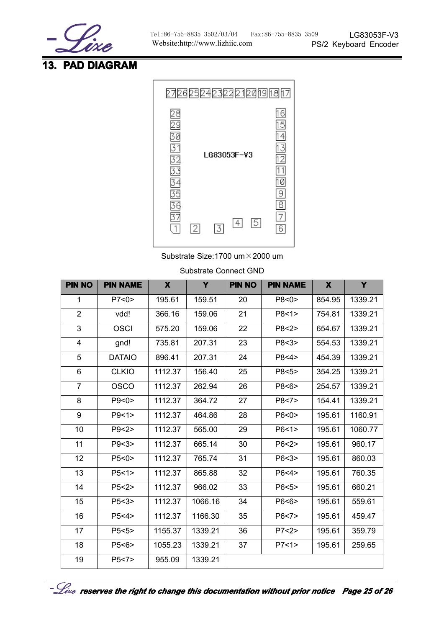

## **13. PAD DIAGRAM DIAGRAM DIAGRAM**



Substrate Size:1700 um×2000 um

| <b>PIN NO</b>  | <b>PIN NAME</b> | X       | Y       | <b>PIN NO</b> | <b>PIN NAME</b> | $\mathbf x$ | Y       |
|----------------|-----------------|---------|---------|---------------|-----------------|-------------|---------|
| 1              | P7 < 0          | 195.61  | 159.51  | 20            | P8 < 0          | 854.95      | 1339.21 |
| $\overline{2}$ | vdd!            | 366.16  | 159.06  | 21            | P8 < 1 >        | 754.81      | 1339.21 |
| 3              | <b>OSCI</b>     | 575.20  | 159.06  | 22            | P8 < 2 >        | 654.67      | 1339.21 |
| 4              | gnd!            | 735.81  | 207.31  | 23            | P8<3>           | 554.53      | 1339.21 |
| 5              | <b>DATAIO</b>   | 896.41  | 207.31  | 24            | P8 < 4          | 454.39      | 1339.21 |
| 6              | <b>CLKIO</b>    | 1112.37 | 156.40  | 25            | P8 < 5          | 354.25      | 1339.21 |
| $\overline{7}$ | <b>OSCO</b>     | 1112.37 | 262.94  | 26            | P8 < 6          | 254.57      | 1339.21 |
| 8              | P9 < 0          | 1112.37 | 364.72  | 27            | P8 < 7          | 154.41      | 1339.21 |
| 9              | P9 < 1 >        | 1112.37 | 464.86  | 28            | P6 < 0 >        | 195.61      | 1160.91 |
| 10             | P9 < 2 >        | 1112.37 | 565.00  | 29            | P6 < 1 >        | 195.61      | 1060.77 |
| 11             | P9 < 3          | 1112.37 | 665.14  | 30            | P6 < 2 >        | 195.61      | 960.17  |
| 12             | P5 < 0          | 1112.37 | 765.74  | 31            | P6 < 3          | 195.61      | 860.03  |
| 13             | P5 < 1>         | 1112.37 | 865.88  | 32            | P6 < 4          | 195.61      | 760.35  |
| 14             | P5 < 2          | 1112.37 | 966.02  | 33            | P6 < 5          | 195.61      | 660.21  |
| 15             | P5 < 3          | 1112.37 | 1066.16 | 34            | P6 < 6          | 195.61      | 559.61  |
| 16             | P5 < 4          | 1112.37 | 1166.30 | 35            | P6 < 7          | 195.61      | 459.47  |
| 17             | P5 < 5          | 1155.37 | 1339.21 | 36            | P7 < 2          | 195.61      | 359.79  |
| 18             | P5 < 6          | 1055.23 | 1339.21 | 37            | P7 < 1 >        | 195.61      | 259.65  |
| 19             | P5 < 7          | 955.09  | 1339.21 |               |                 |             |         |

Substrate Connect GND